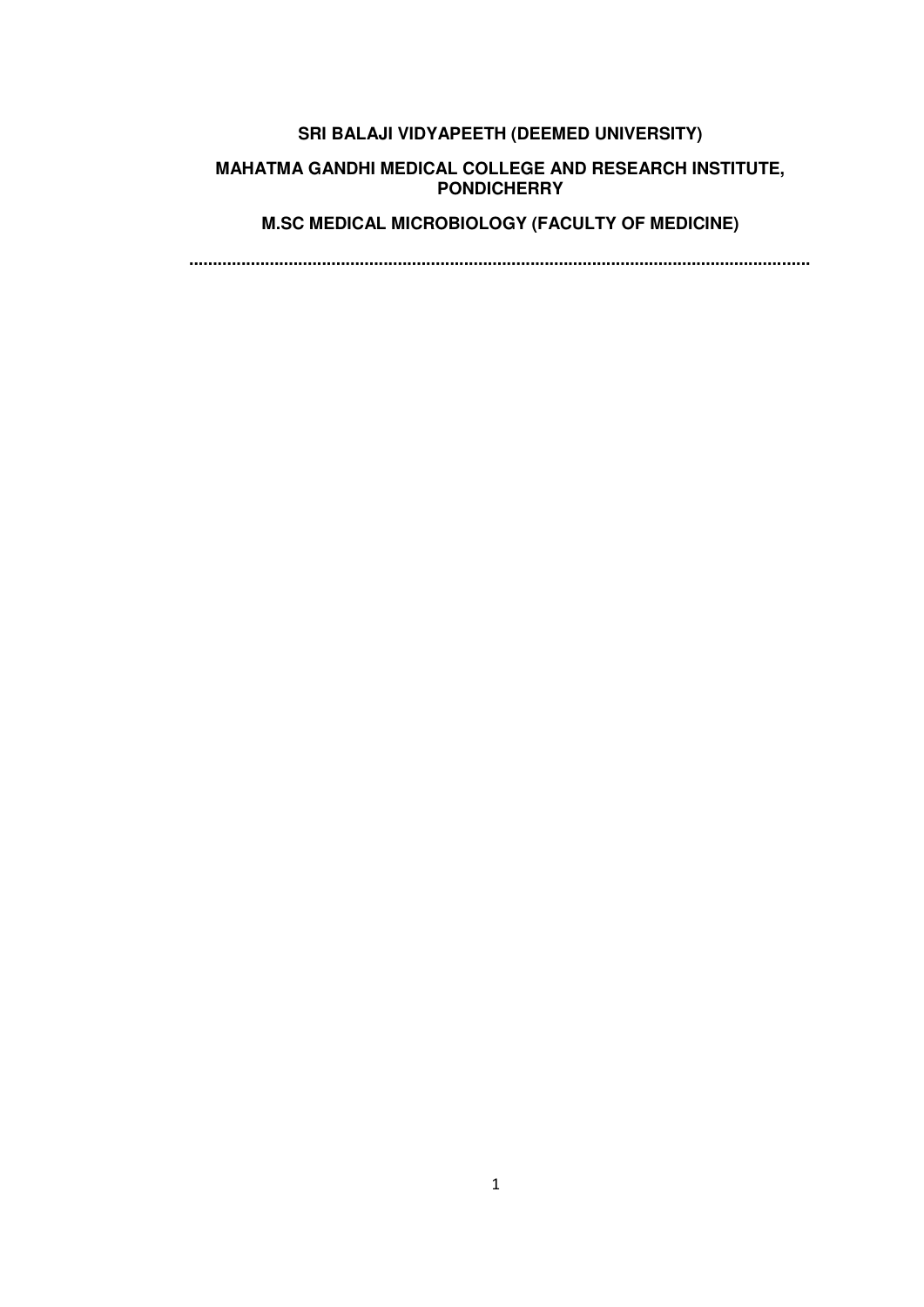# **SRI BALAJI VIDYAPEETH (DEEMED UNIVERSITY)**

#### **MAHATMA GANDHI MEDICAL COLLEGE AND RESEARCH INSTITUTE, PONDICHERRY**

# **M.SC MEDICAL MICROBIOLOGY (FACULTY OF MEDICINE)**

**...................................................................................................................................**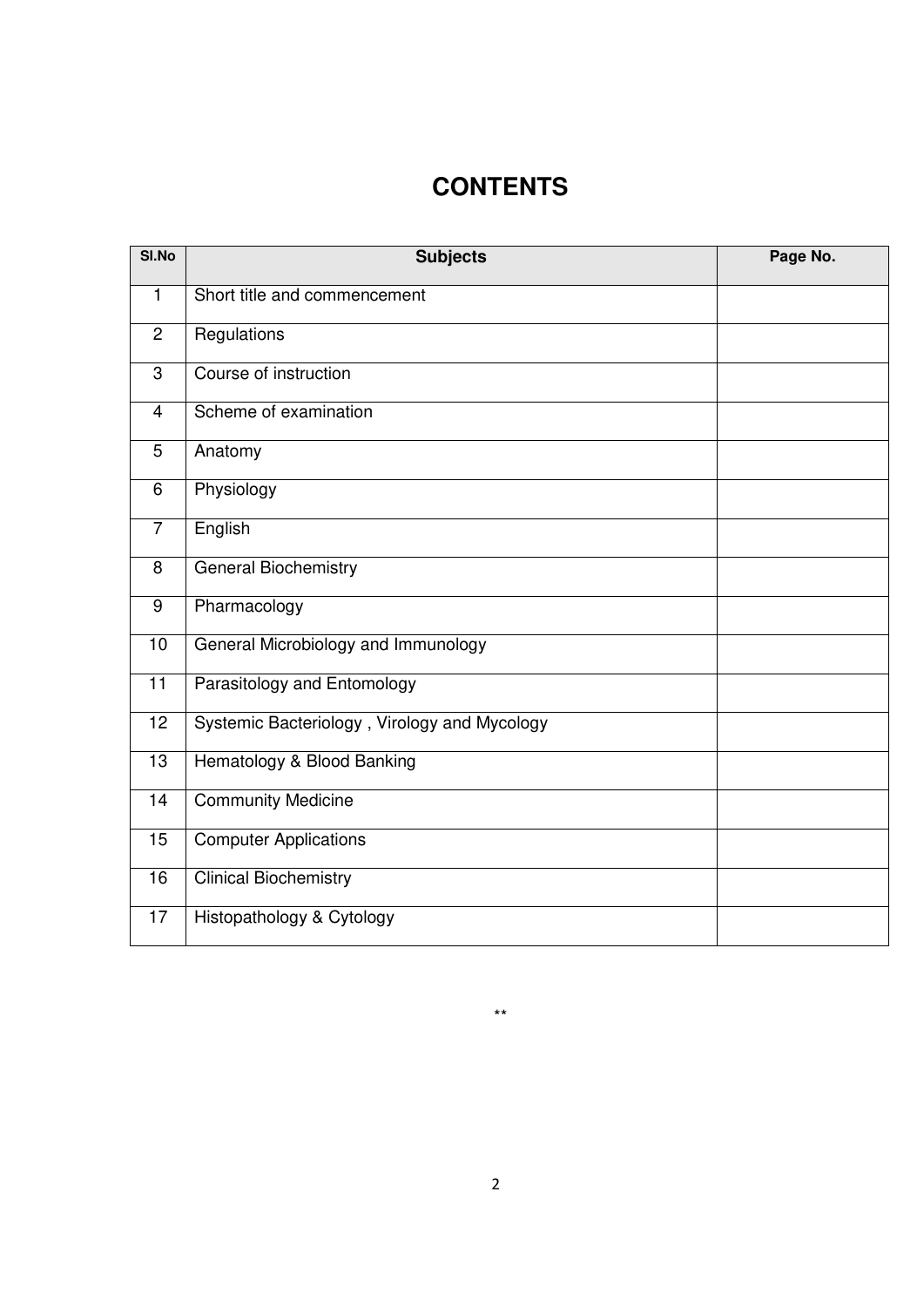# **CONTENTS**

| SI.No           | <b>Subjects</b>                              | Page No. |
|-----------------|----------------------------------------------|----------|
| $\mathbf{1}$    | Short title and commencement                 |          |
| 2               | Regulations                                  |          |
| $\overline{3}$  | Course of instruction                        |          |
| $\overline{4}$  | Scheme of examination                        |          |
| 5               | Anatomy                                      |          |
| $6\,$           | Physiology                                   |          |
| $\overline{7}$  | English                                      |          |
| 8               | <b>General Biochemistry</b>                  |          |
| 9               | Pharmacology                                 |          |
| 10              | General Microbiology and Immunology          |          |
| $\overline{11}$ | Parasitology and Entomology                  |          |
| 12              | Systemic Bacteriology, Virology and Mycology |          |
| 13              | Hematology & Blood Banking                   |          |
| 14              | <b>Community Medicine</b>                    |          |
| 15              | <b>Computer Applications</b>                 |          |
| 16              | <b>Clinical Biochemistry</b>                 |          |
| 17              | Histopathology & Cytology                    |          |

\*\*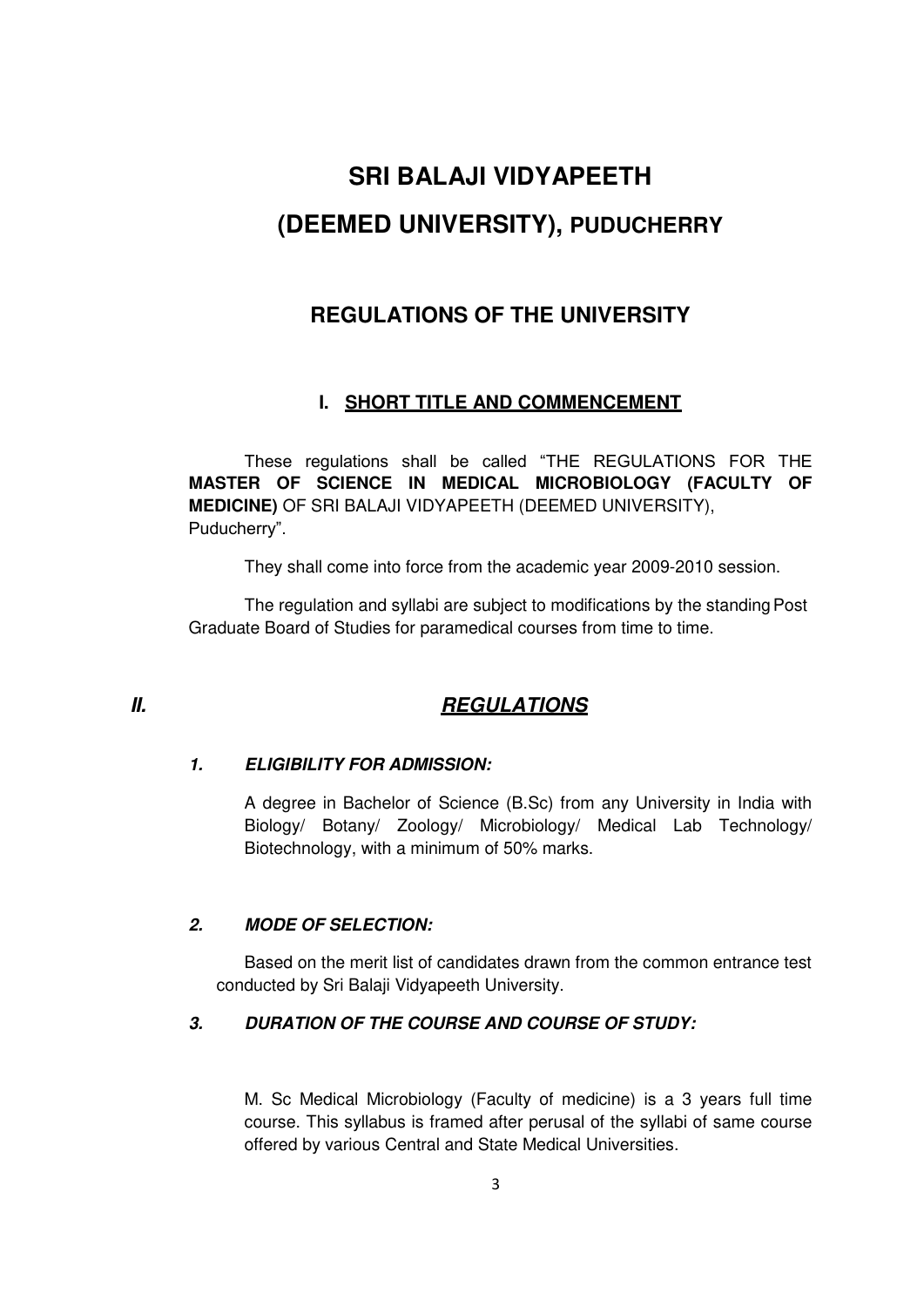# **SRI BALAJI VIDYAPEETH (DEEMED UNIVERSITY), PUDUCHERRY**

# **REGULATIONS OF THE UNIVERSITY**

# **I. SHORT TITLE AND COMMENCEMENT**

These regulations shall be called "THE REGULATIONS FOR THE **MASTER OF SCIENCE IN MEDICAL MICROBIOLOGY (FACULTY OF MEDICINE)** OF SRI BALAJI VIDYAPEETH (DEEMED UNIVERSITY), Puducherry".

They shall come into force from the academic year 2009-2010 session.

The regulation and syllabi are subject to modifications by the standing Post Graduate Board of Studies for paramedical courses from time to time.

# *II. REGULATIONS*

# *1. ELIGIBILITY FOR ADMISSION:*

A degree in Bachelor of Science (B.Sc) from any University in India with Biology/ Botany/ Zoology/ Microbiology/ Medical Lab Technology/ Biotechnology, with a minimum of 50% marks.

# *2. MODE OF SELECTION:*

Based on the merit list of candidates drawn from the common entrance test conducted by Sri Balaji Vidyapeeth University.

# *3. DURATION OF THE COURSE AND COURSE OF STUDY:*

M. Sc Medical Microbiology (Faculty of medicine) is a 3 years full time course. This syllabus is framed after perusal of the syllabi of same course offered by various Central and State Medical Universities.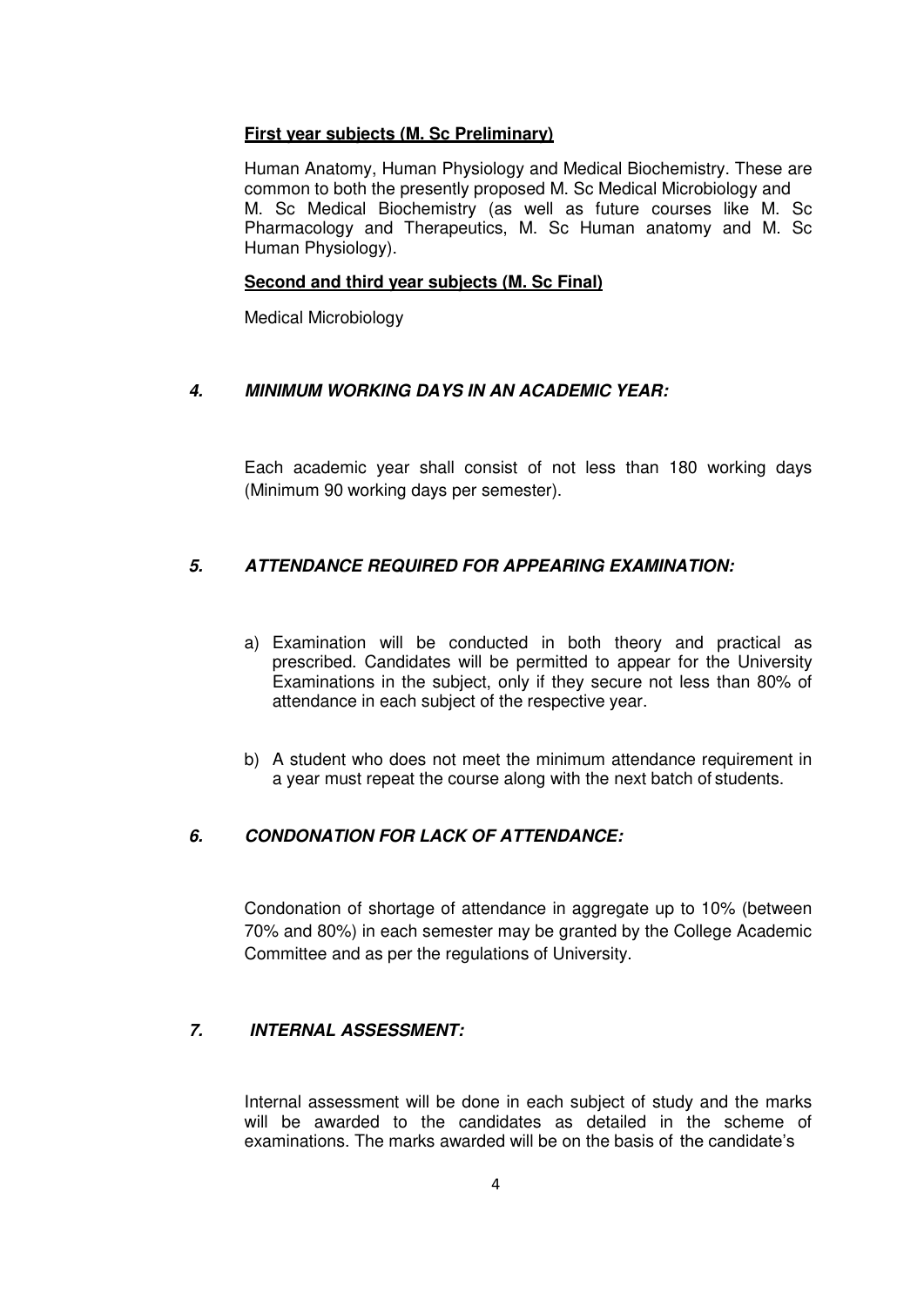#### **First year subjects (M. Sc Preliminary)**

Human Anatomy, Human Physiology and Medical Biochemistry. These are common to both the presently proposed M. Sc Medical Microbiology and M. Sc Medical Biochemistry (as well as future courses like M. Sc Pharmacology and Therapeutics, M. Sc Human anatomy and M. Sc Human Physiology).

#### **Second and third year subjects (M. Sc Final)**

Medical Microbiology

#### *4. MINIMUM WORKING DAYS IN AN ACADEMIC YEAR:*

Each academic year shall consist of not less than 180 working days (Minimum 90 working days per semester).

### *5. ATTENDANCE REQUIRED FOR APPEARING EXAMINATION:*

- a) Examination will be conducted in both theory and practical as prescribed. Candidates will be permitted to appear for the University Examinations in the subject, only if they secure not less than 80% of attendance in each subject of the respective year.
- b) A student who does not meet the minimum attendance requirement in a year must repeat the course along with the next batch of students.

#### *6. CONDONATION FOR LACK OF ATTENDANCE:*

Condonation of shortage of attendance in aggregate up to 10% (between 70% and 80%) in each semester may be granted by the College Academic Committee and as per the regulations of University.

#### *7. INTERNAL ASSESSMENT:*

Internal assessment will be done in each subject of study and the marks will be awarded to the candidates as detailed in the scheme of examinations. The marks awarded will be on the basis of the candidate's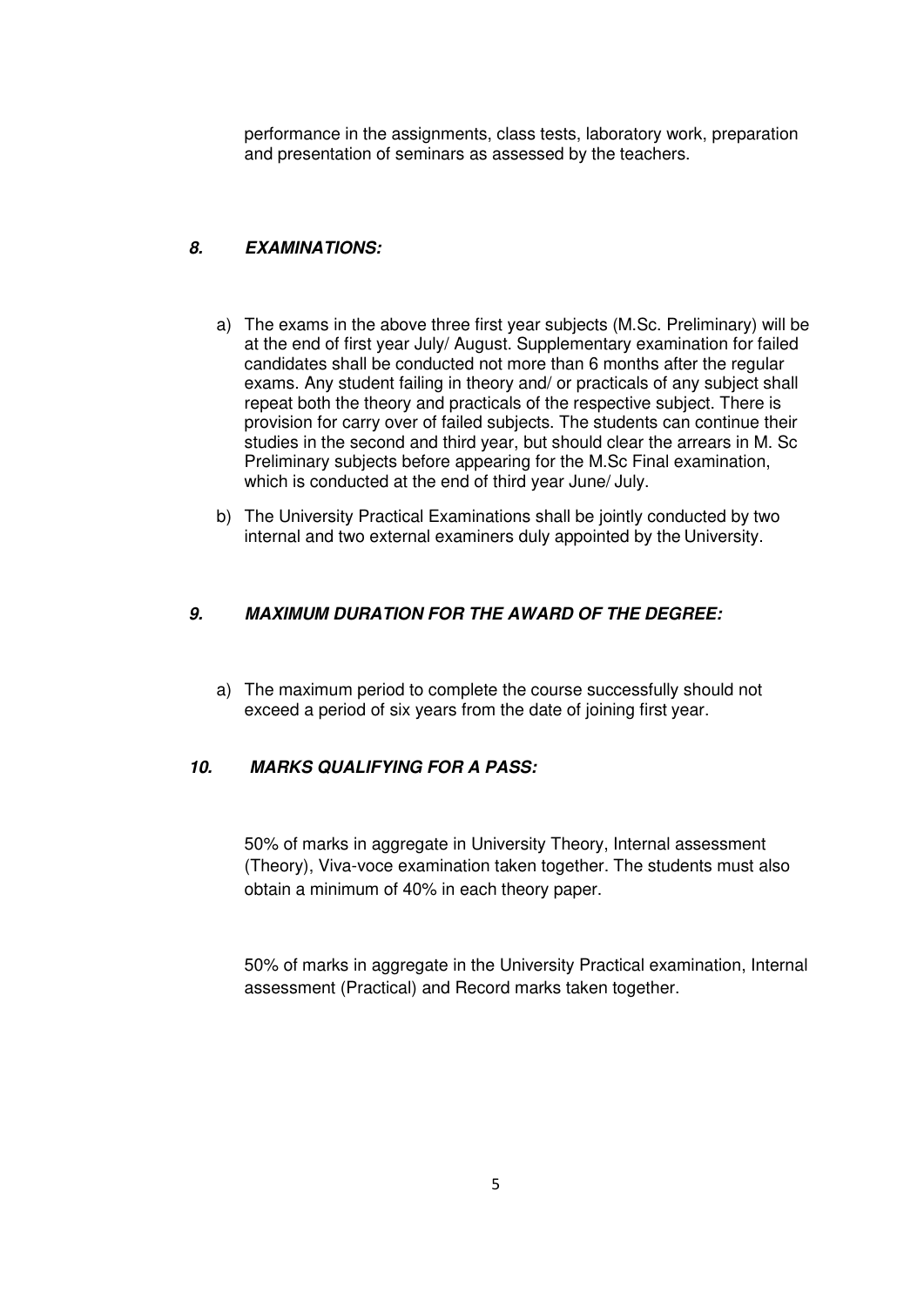performance in the assignments, class tests, laboratory work, preparation and presentation of seminars as assessed by the teachers.

### *8. EXAMINATIONS:*

- a) The exams in the above three first year subjects (M.Sc. Preliminary) will be at the end of first year July/ August. Supplementary examination for failed candidates shall be conducted not more than 6 months after the regular exams. Any student failing in theory and/ or practicals of any subject shall repeat both the theory and practicals of the respective subject. There is provision for carry over of failed subjects. The students can continue their studies in the second and third year, but should clear the arrears in M. Sc Preliminary subjects before appearing for the M.Sc Final examination, which is conducted at the end of third year June/ July.
- b) The University Practical Examinations shall be jointly conducted by two internal and two external examiners duly appointed by the University.

#### *9. MAXIMUM DURATION FOR THE AWARD OF THE DEGREE:*

a) The maximum period to complete the course successfully should not exceed a period of six years from the date of joining first year.

#### *10. MARKS QUALIFYING FOR A PASS:*

50% of marks in aggregate in University Theory, Internal assessment (Theory), Viva-voce examination taken together. The students must also obtain a minimum of 40% in each theory paper.

50% of marks in aggregate in the University Practical examination, Internal assessment (Practical) and Record marks taken together.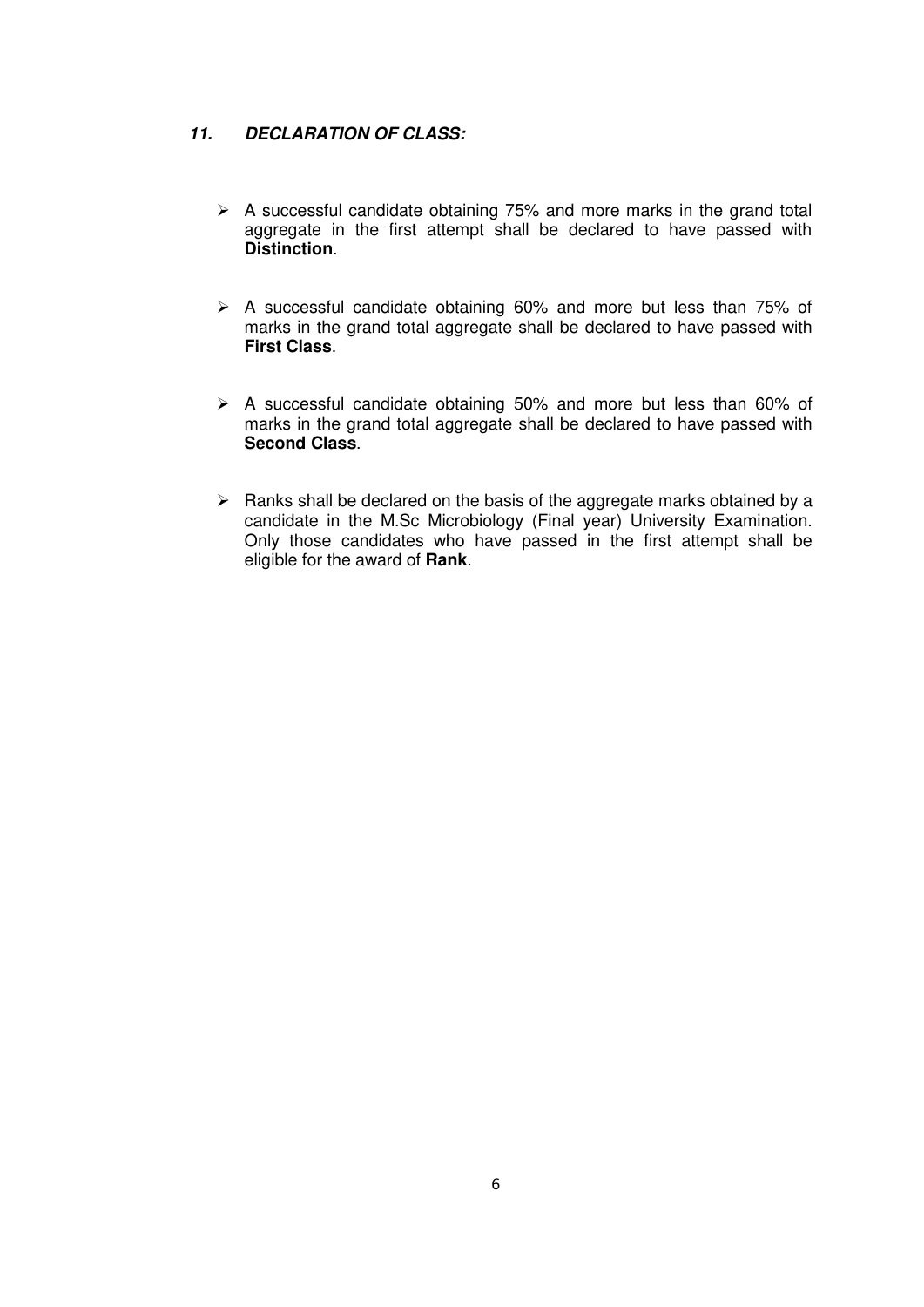#### *11. DECLARATION OF CLASS:*

- $\triangleright$  A successful candidate obtaining 75% and more marks in the grand total aggregate in the first attempt shall be declared to have passed with **Distinction**.
- $\triangleright$  A successful candidate obtaining 60% and more but less than 75% of marks in the grand total aggregate shall be declared to have passed with **First Class**.
- $\triangleright$  A successful candidate obtaining 50% and more but less than 60% of marks in the grand total aggregate shall be declared to have passed with **Second Class**.
- $\triangleright$  Ranks shall be declared on the basis of the aggregate marks obtained by a candidate in the M.Sc Microbiology (Final year) University Examination. Only those candidates who have passed in the first attempt shall be eligible for the award of **Rank**.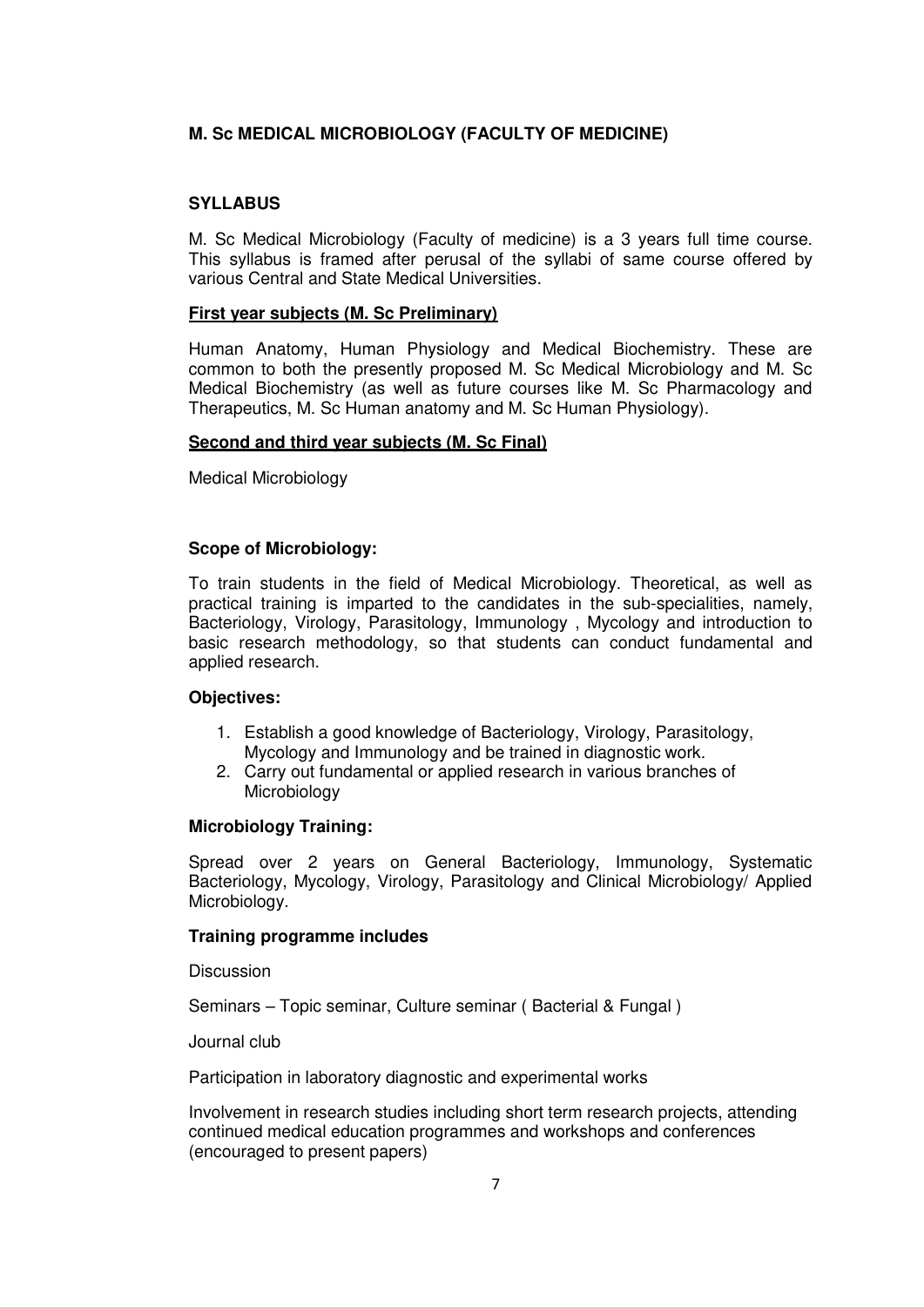### **M. Sc MEDICAL MICROBIOLOGY (FACULTY OF MEDICINE)**

#### **SYLLABUS**

M. Sc Medical Microbiology (Faculty of medicine) is a 3 years full time course. This syllabus is framed after perusal of the syllabi of same course offered by various Central and State Medical Universities.

#### **First year subjects (M. Sc Preliminary)**

Human Anatomy, Human Physiology and Medical Biochemistry. These are common to both the presently proposed M. Sc Medical Microbiology and M. Sc Medical Biochemistry (as well as future courses like M. Sc Pharmacology and Therapeutics, M. Sc Human anatomy and M. Sc Human Physiology).

#### **Second and third year subjects (M. Sc Final)**

Medical Microbiology

#### **Scope of Microbiology:**

To train students in the field of Medical Microbiology. Theoretical, as well as practical training is imparted to the candidates in the sub-specialities, namely, Bacteriology, Virology, Parasitology, Immunology , Mycology and introduction to basic research methodology, so that students can conduct fundamental and applied research.

#### **Objectives:**

- 1. Establish a good knowledge of Bacteriology, Virology, Parasitology, Mycology and Immunology and be trained in diagnostic work.
- 2. Carry out fundamental or applied research in various branches of Microbiology

#### **Microbiology Training:**

Spread over 2 years on General Bacteriology, Immunology, Systematic Bacteriology, Mycology, Virology, Parasitology and Clinical Microbiology/ Applied Microbiology.

#### **Training programme includes**

**Discussion** 

Seminars – Topic seminar, Culture seminar ( Bacterial & Fungal )

Journal club

Participation in laboratory diagnostic and experimental works

Involvement in research studies including short term research projects, attending continued medical education programmes and workshops and conferences (encouraged to present papers)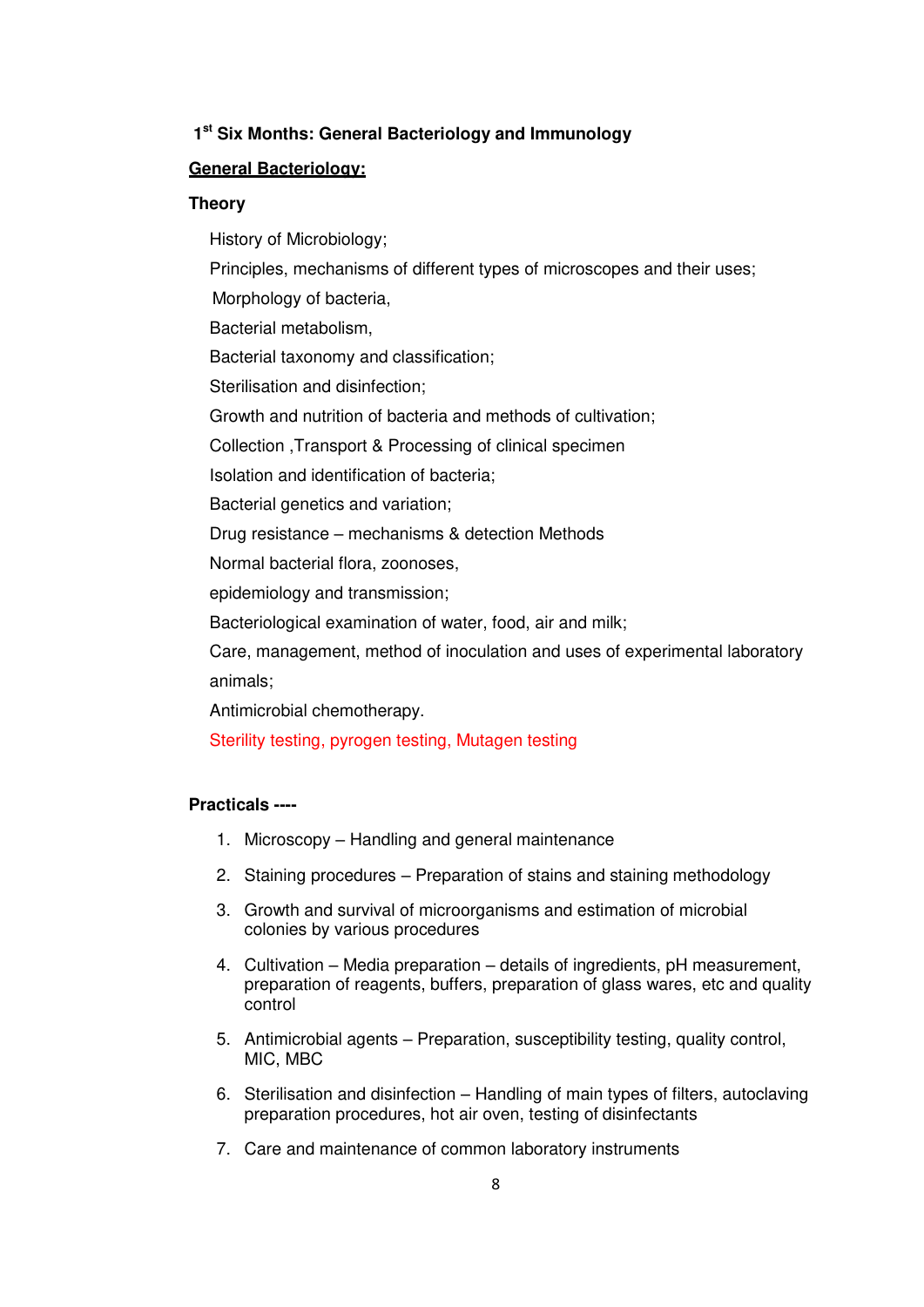#### **1 st Six Months: General Bacteriology and Immunology**

#### **General Bacteriology:**

#### **Theory**

History of Microbiology; Principles, mechanisms of different types of microscopes and their uses; Morphology of bacteria, Bacterial metabolism, Bacterial taxonomy and classification; Sterilisation and disinfection; Growth and nutrition of bacteria and methods of cultivation; Collection ,Transport & Processing of clinical specimen Isolation and identification of bacteria; Bacterial genetics and variation; Drug resistance – mechanisms & detection Methods Normal bacterial flora, zoonoses, epidemiology and transmission; Bacteriological examination of water, food, air and milk; Care, management, method of inoculation and uses of experimental laboratory animals;

Antimicrobial chemotherapy.

Sterility testing, pyrogen testing, Mutagen testing

#### **Practicals ----**

- 1. Microscopy Handling and general maintenance
- 2. Staining procedures Preparation of stains and staining methodology
- 3. Growth and survival of microorganisms and estimation of microbial colonies by various procedures
- 4. Cultivation Media preparation details of ingredients, pH measurement, preparation of reagents, buffers, preparation of glass wares, etc and quality control
- 5. Antimicrobial agents Preparation, susceptibility testing, quality control, MIC, MBC
- 6. Sterilisation and disinfection Handling of main types of filters, autoclaving preparation procedures, hot air oven, testing of disinfectants
- 7. Care and maintenance of common laboratory instruments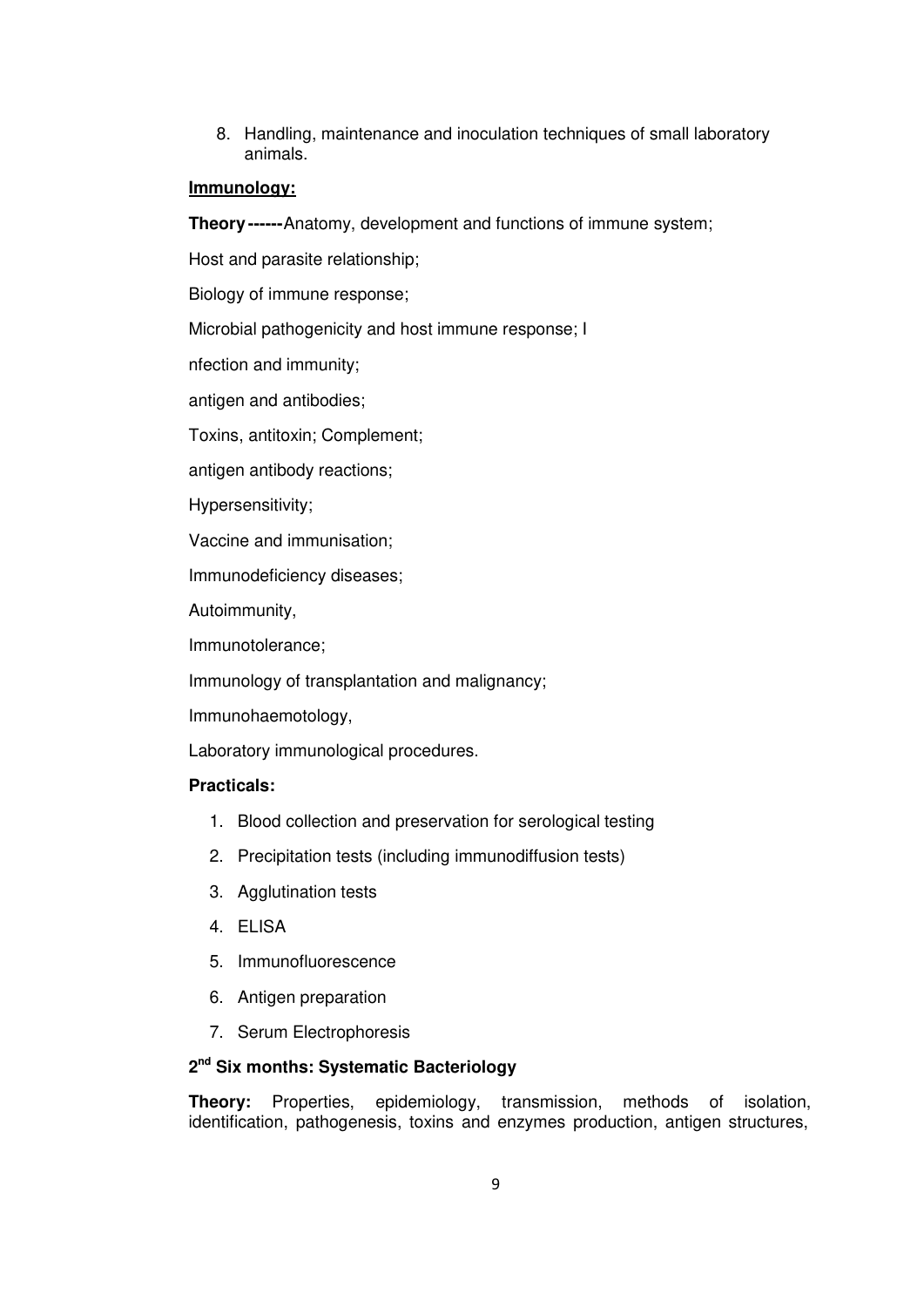8. Handling, maintenance and inoculation techniques of small laboratory animals.

#### **Immunology:**

**Theory ------**Anatomy, development and functions of immune system;

Host and parasite relationship;

Biology of immune response;

Microbial pathogenicity and host immune response; I

nfection and immunity;

antigen and antibodies;

Toxins, antitoxin; Complement;

antigen antibody reactions;

Hypersensitivity;

Vaccine and immunisation;

Immunodeficiency diseases;

Autoimmunity,

Immunotolerance;

Immunology of transplantation and malignancy;

Immunohaemotology,

Laboratory immunological procedures.

#### **Practicals:**

- 1. Blood collection and preservation for serological testing
- 2. Precipitation tests (including immunodiffusion tests)
- 3. Agglutination tests
- 4. ELISA
- 5. Immunofluorescence
- 6. Antigen preparation
- 7. Serum Electrophoresis

#### **2 nd Six months: Systematic Bacteriology**

**Theory:** Properties, epidemiology, transmission, methods of isolation, identification, pathogenesis, toxins and enzymes production, antigen structures,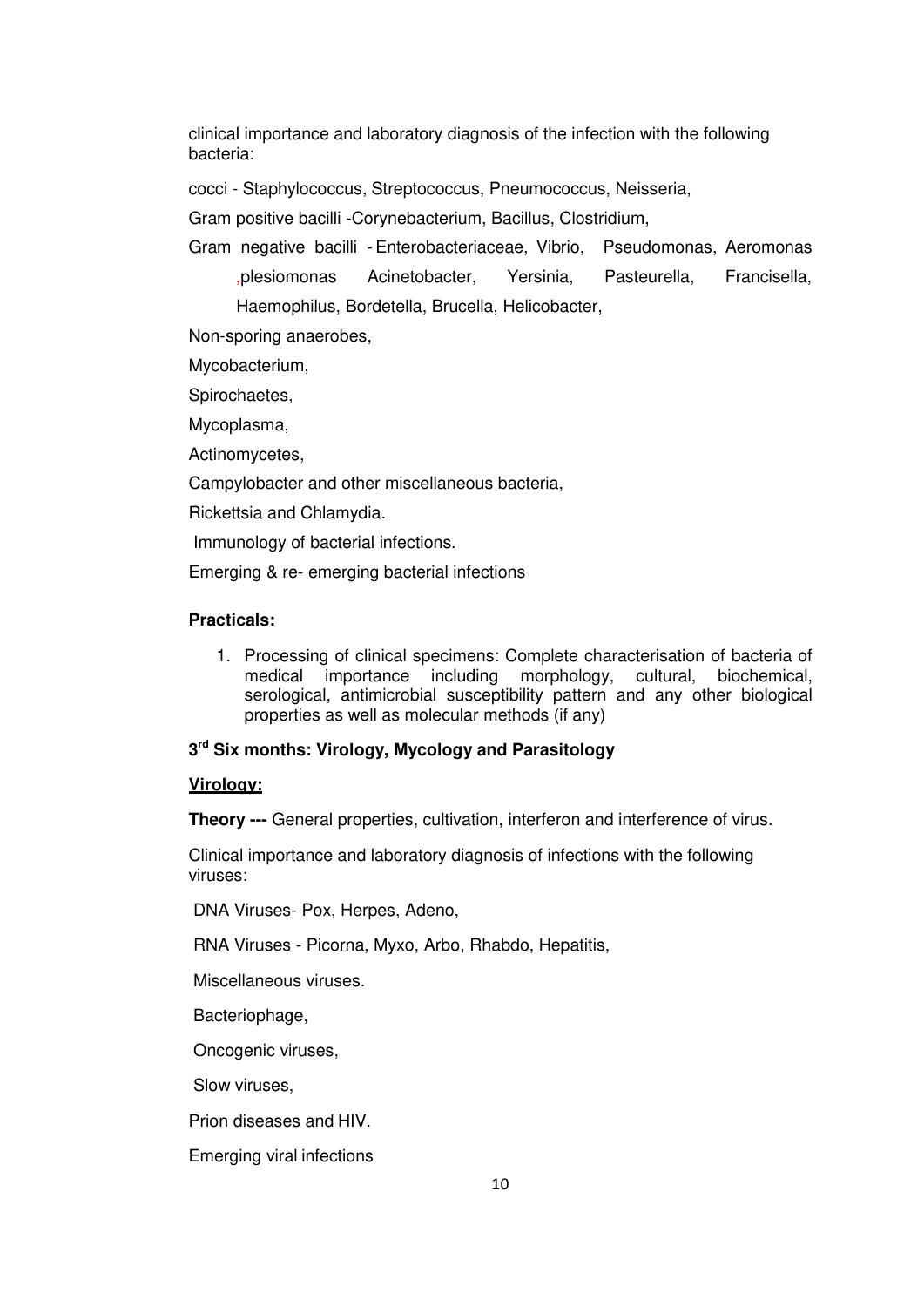clinical importance and laboratory diagnosis of the infection with the following bacteria:

cocci - Staphylococcus, Streptococcus, Pneumococcus, Neisseria,

Gram positive bacilli -Corynebacterium, Bacillus, Clostridium,

Gram negative bacilli - Enterobacteriaceae, Vibrio, Pseudomonas, Aeromonas ,plesiomonas Acinetobacter, Yersinia, Pasteurella, Francisella, Haemophilus, Bordetella, Brucella, Helicobacter,

Non-sporing anaerobes,

Mycobacterium,

Spirochaetes,

Mycoplasma,

Actinomycetes,

Campylobacter and other miscellaneous bacteria,

Rickettsia and Chlamydia.

Immunology of bacterial infections.

Emerging & re- emerging bacterial infections

#### **Practicals:**

1. Processing of clinical specimens: Complete characterisation of bacteria of medical importance including morphology, cultural, biochemical, serological, antimicrobial susceptibility pattern and any other biological properties as well as molecular methods (if any)

#### **3 rd Six months: Virology, Mycology and Parasitology**

#### **Virology:**

**Theory ---** General properties, cultivation, interferon and interference of virus.

Clinical importance and laboratory diagnosis of infections with the following viruses:

DNA Viruses- Pox, Herpes, Adeno,

RNA Viruses - Picorna, Myxo, Arbo, Rhabdo, Hepatitis,

Miscellaneous viruses.

Bacteriophage,

Oncogenic viruses,

Slow viruses,

Prion diseases and HIV.

Emerging viral infections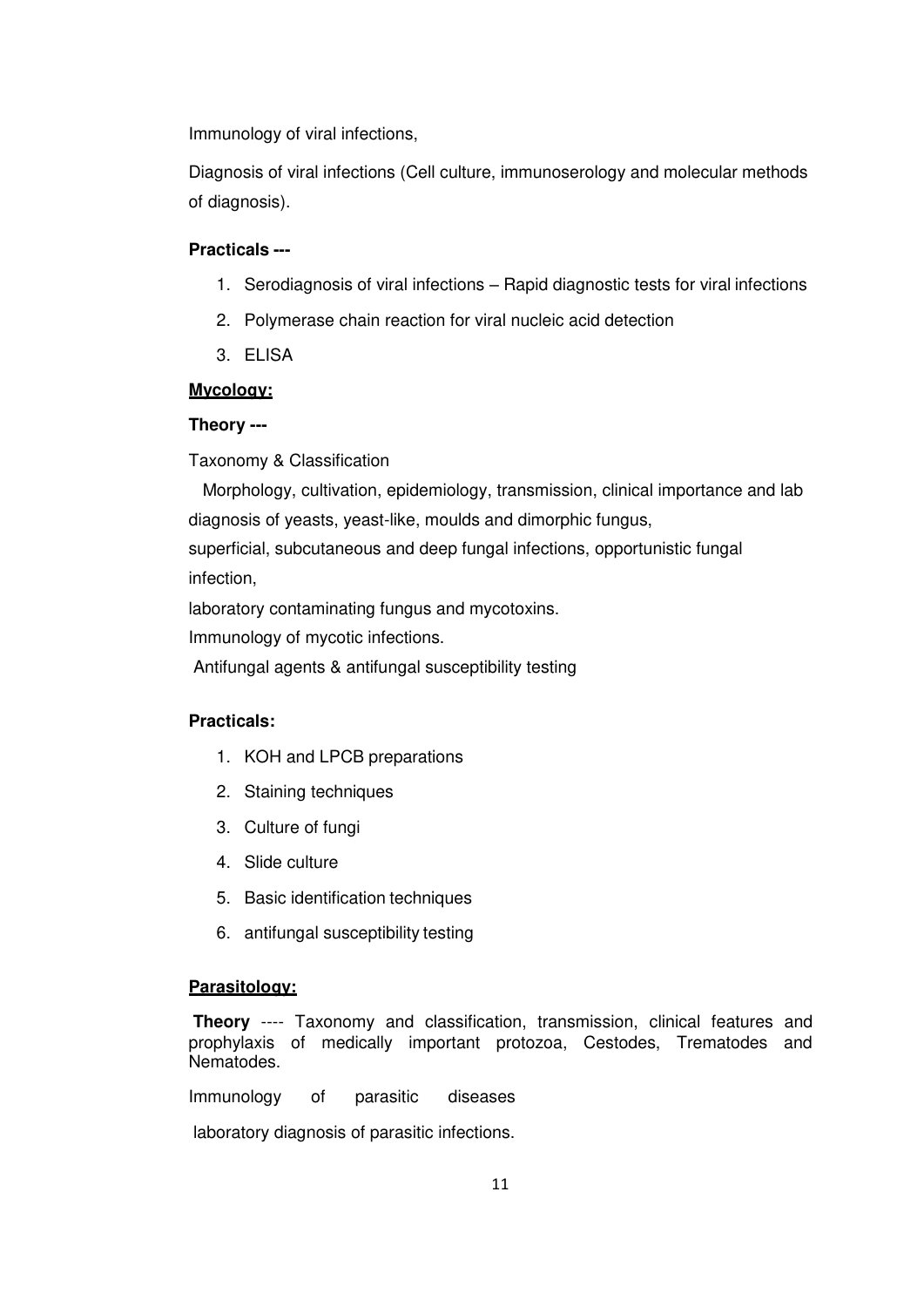Immunology of viral infections,

Diagnosis of viral infections (Cell culture, immunoserology and molecular methods of diagnosis).

#### **Practicals ---**

- 1. Serodiagnosis of viral infections Rapid diagnostic tests for viral infections
- 2. Polymerase chain reaction for viral nucleic acid detection
- 3. ELISA

### **Mycology:**

### **Theory ---**

Taxonomy & Classification

Morphology, cultivation, epidemiology, transmission, clinical importance and lab diagnosis of yeasts, yeast-like, moulds and dimorphic fungus,

superficial, subcutaneous and deep fungal infections, opportunistic fungal infection,

laboratory contaminating fungus and mycotoxins.

Immunology of mycotic infections.

Antifungal agents & antifungal susceptibility testing

#### **Practicals:**

- 1. KOH and LPCB preparations
- 2. Staining techniques
- 3. Culture of fungi
- 4. Slide culture
- 5. Basic identification techniques
- 6. antifungal susceptibility testing

#### **Parasitology:**

**Theory** ---- Taxonomy and classification, transmission, clinical features and prophylaxis of medically important protozoa, Cestodes, Trematodes and Nematodes.

Immunology of parasitic diseases

laboratory diagnosis of parasitic infections.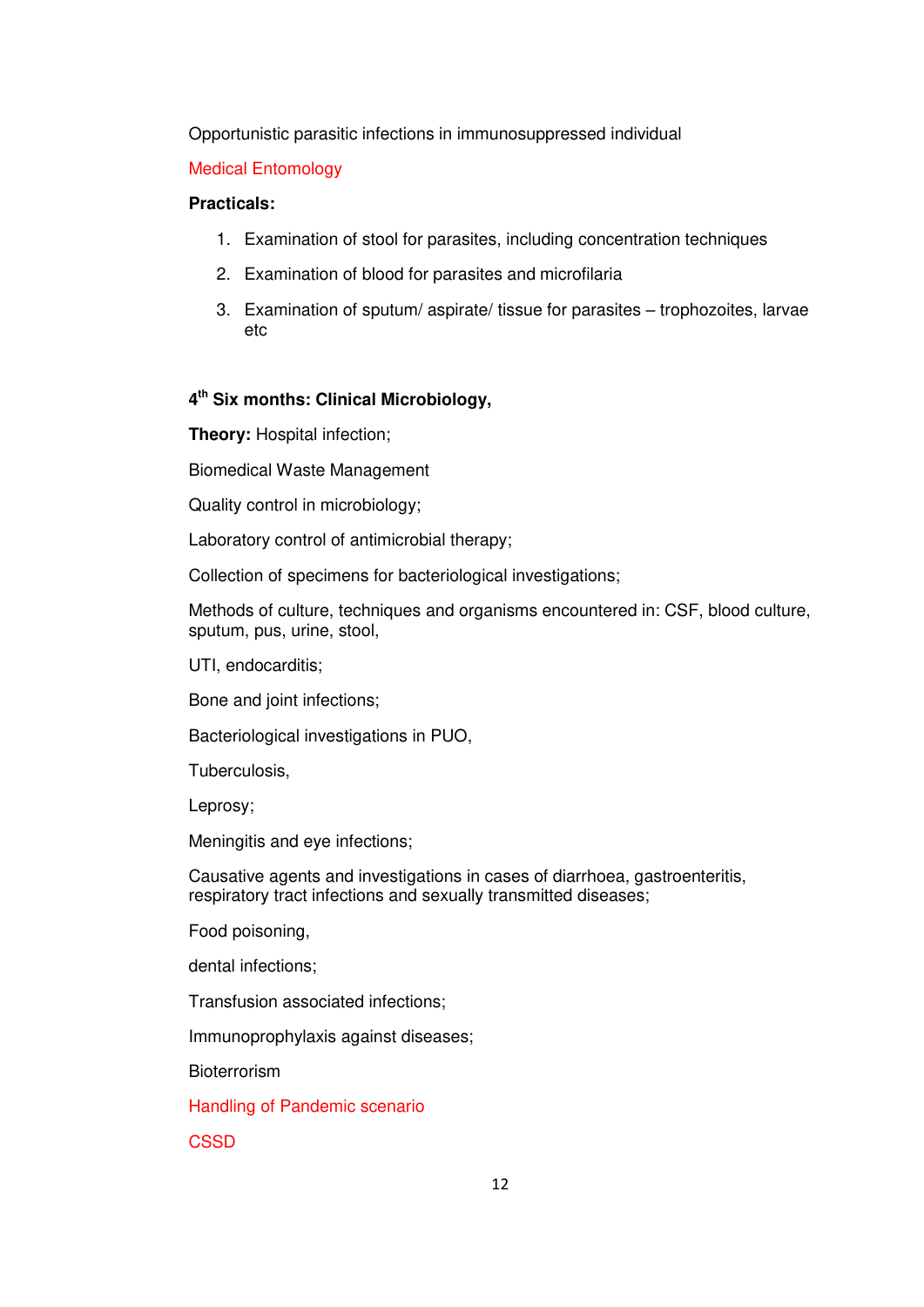Opportunistic parasitic infections in immunosuppressed individual

## Medical Entomology

#### **Practicals:**

- 1. Examination of stool for parasites, including concentration techniques
- 2. Examination of blood for parasites and microfilaria
- 3. Examination of sputum/ aspirate/ tissue for parasites trophozoites, larvae etc

# **4 th Six months: Clinical Microbiology,**

**Theory: Hospital infection;** 

Biomedical Waste Management

Quality control in microbiology;

Laboratory control of antimicrobial therapy;

Collection of specimens for bacteriological investigations;

Methods of culture, techniques and organisms encountered in: CSF, blood culture, sputum, pus, urine, stool,

UTI, endocarditis;

Bone and joint infections;

Bacteriological investigations in PUO,

Tuberculosis,

Leprosy;

Meningitis and eye infections;

Causative agents and investigations in cases of diarrhoea, gastroenteritis, respiratory tract infections and sexually transmitted diseases;

Food poisoning,

dental infections;

Transfusion associated infections;

Immunoprophylaxis against diseases;

Bioterrorism

Handling of Pandemic scenario

**CSSD**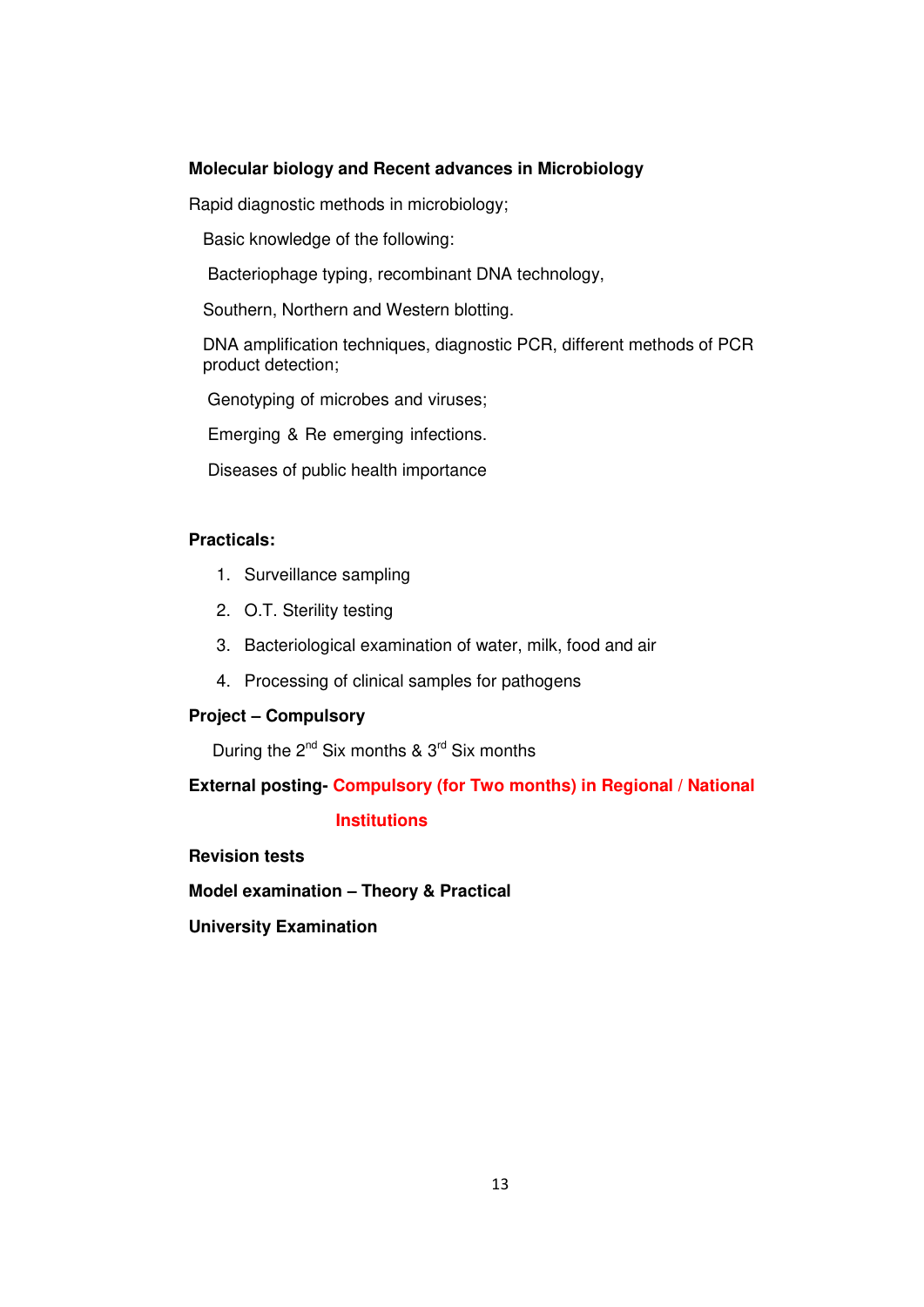#### **Molecular biology and Recent advances in Microbiology**

Rapid diagnostic methods in microbiology;

Basic knowledge of the following:

Bacteriophage typing, recombinant DNA technology,

Southern, Northern and Western blotting.

DNA amplification techniques, diagnostic PCR, different methods of PCR product detection;

Genotyping of microbes and viruses;

Emerging & Re emerging infections.

Diseases of public health importance

## **Practicals:**

- 1. Surveillance sampling
- 2. O.T. Sterility testing
- 3. Bacteriological examination of water, milk, food and air
- 4. Processing of clinical samples for pathogens

#### **Project – Compulsory**

During the  $2^{nd}$  Six months &  $3^{rd}$  Six months

**External posting- Compulsory (for Two months) in Regional / National** 

#### **Institutions**

**Revision tests** 

**Model examination – Theory & Practical** 

**University Examination**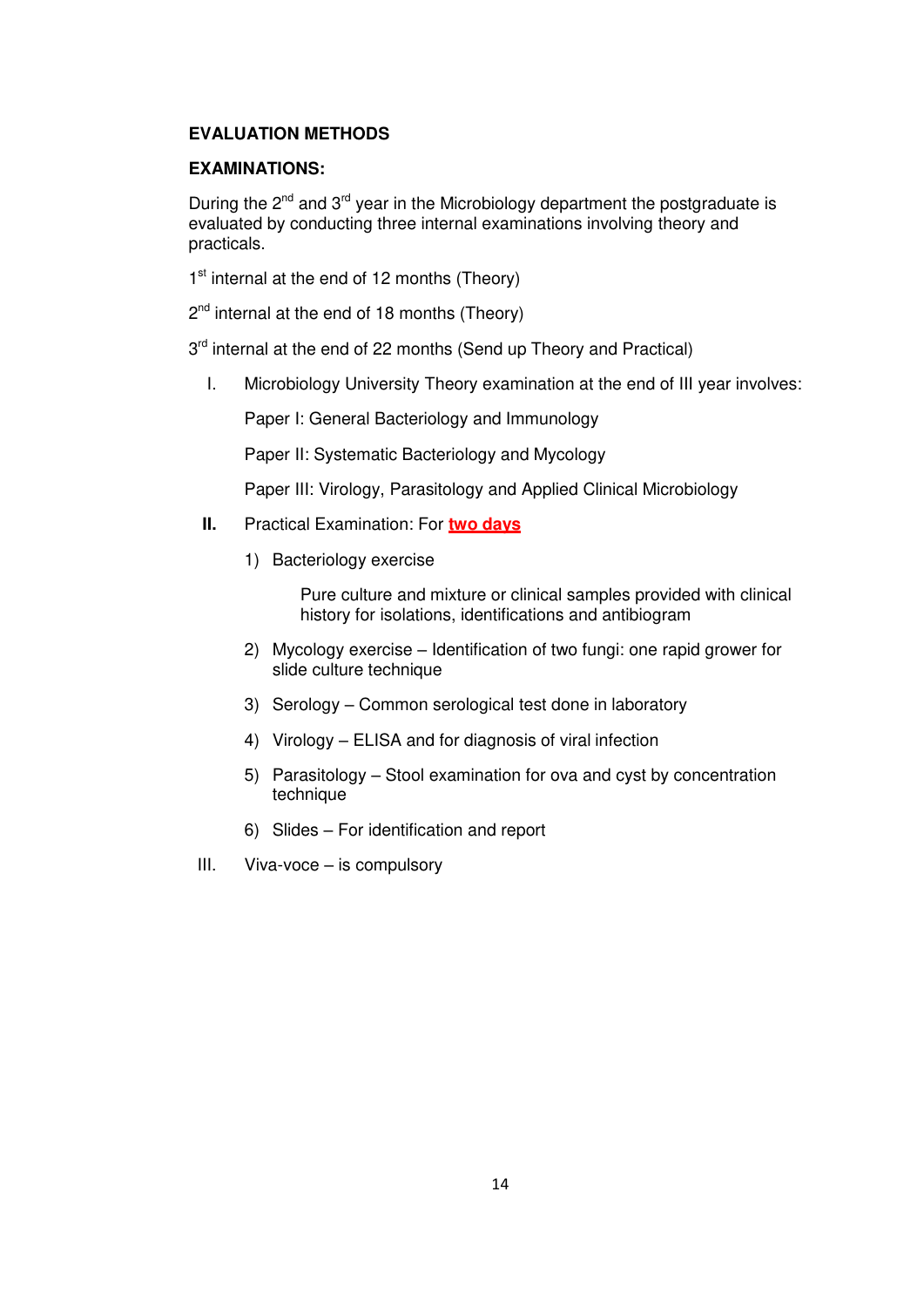### **EVALUATION METHODS**

#### **EXAMINATIONS:**

During the  $2^{nd}$  and  $3^{rd}$  year in the Microbiology department the postgraduate is evaluated by conducting three internal examinations involving theory and practicals.

1<sup>st</sup> internal at the end of 12 months (Theory)

2<sup>nd</sup> internal at the end of 18 months (Theory)

3<sup>rd</sup> internal at the end of 22 months (Send up Theory and Practical)

I. Microbiology University Theory examination at the end of III year involves:

Paper I: General Bacteriology and Immunology

Paper II: Systematic Bacteriology and Mycology

Paper III: Virology, Parasitology and Applied Clinical Microbiology

- **II.** Practical Examination: For **two days**
	- 1) Bacteriology exercise

Pure culture and mixture or clinical samples provided with clinical history for isolations, identifications and antibiogram

- 2) Mycology exercise Identification of two fungi: one rapid grower for slide culture technique
- 3) Serology Common serological test done in laboratory
- 4) Virology ELISA and for diagnosis of viral infection
- 5) Parasitology Stool examination for ova and cyst by concentration technique
- 6) Slides For identification and report
- III. Viva-voce is compulsory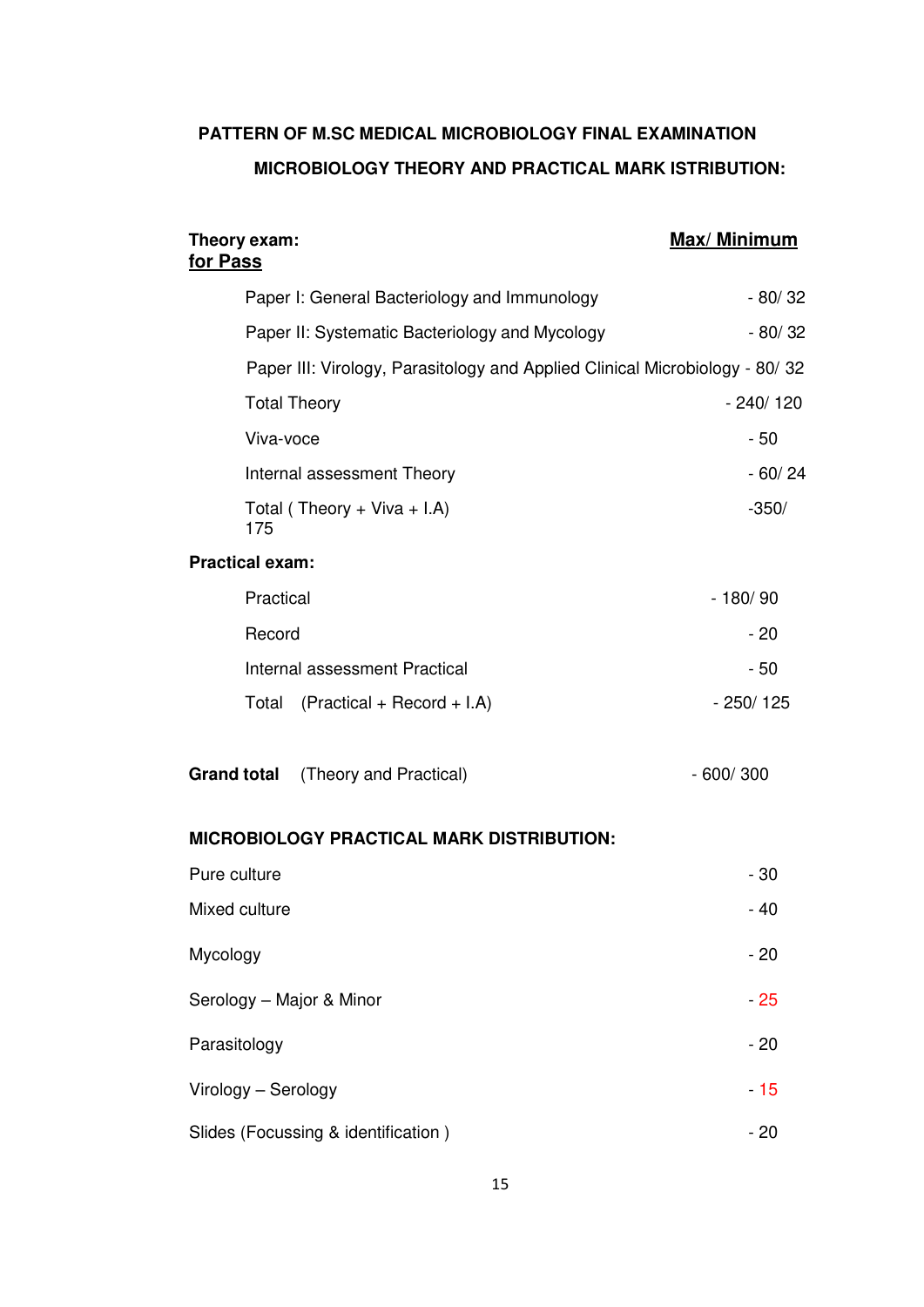# **PATTERN OF M.SC MEDICAL MICROBIOLOGY FINAL EXAMINATION MICROBIOLOGY THEORY AND PRACTICAL MARK ISTRIBUTION:**

| Theory exam:<br>for Pass                                                    | Max/ Minimum |
|-----------------------------------------------------------------------------|--------------|
| Paper I: General Bacteriology and Immunology                                | $-80/32$     |
| Paper II: Systematic Bacteriology and Mycology                              | $-80/32$     |
| Paper III: Virology, Parasitology and Applied Clinical Microbiology - 80/32 |              |
| <b>Total Theory</b>                                                         | $-240/120$   |
| Viva-voce                                                                   | $-50$        |
| Internal assessment Theory                                                  | $-60/24$     |
| Total (Theory + Viva + I.A)<br>175                                          | $-350/$      |
| <b>Practical exam:</b>                                                      |              |
| Practical                                                                   | $-180/90$    |
| Record                                                                      | $-20$        |
| Internal assessment Practical                                               | - 50         |
| Total<br>$(Practical + Record + I.A)$                                       | $-250/125$   |
| <b>Grand total</b><br>(Theory and Practical)                                | $-600/300$   |
| <b>MICROBIOLOGY PRACTICAL MARK DISTRIBUTION:</b>                            |              |
| Pure culture                                                                | $-30$        |
| Mixed culture                                                               | - 40         |
| Mycology                                                                    | $-20$        |
| Serology - Major & Minor                                                    | $-25$        |
| Parasitology                                                                | $-20$        |
| Virology - Serology                                                         | $-15$        |
| Slides (Focussing & identification)                                         | $-20$        |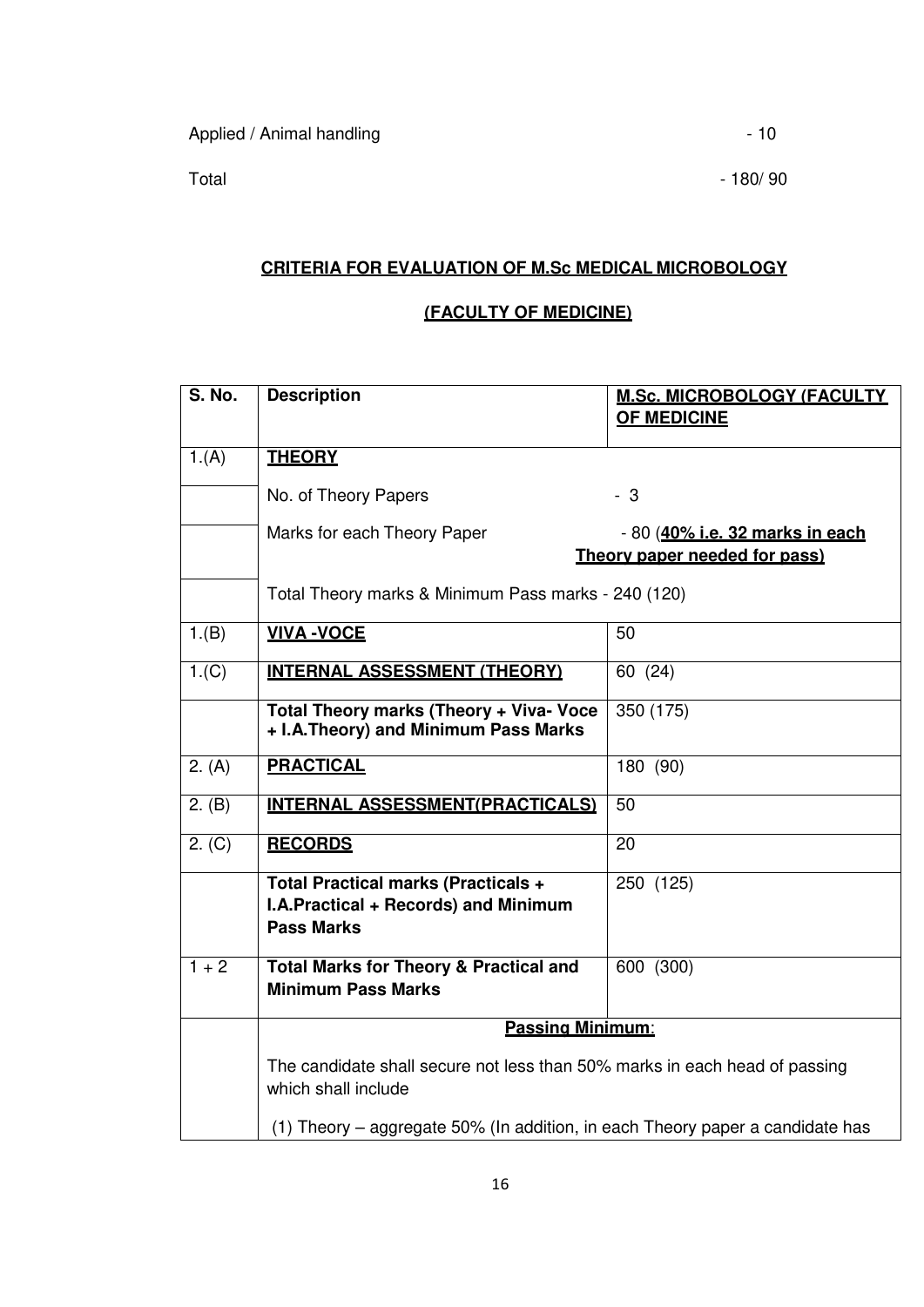Total 180/90

# **CRITERIA FOR EVALUATION OF M.Sc MEDICAL MICROBOLOGY**

# **(FACULTY OF MEDICINE)**

| <b>S. No.</b> | <b>Description</b>                                                                                      | <b>M.Sc. MICROBOLOGY (FACULTY)</b><br><b>OF MEDICINE</b>         |  |
|---------------|---------------------------------------------------------------------------------------------------------|------------------------------------------------------------------|--|
| 1.(A)         | <b>THEORY</b>                                                                                           |                                                                  |  |
|               | No. of Theory Papers                                                                                    | $-3$                                                             |  |
|               | Marks for each Theory Paper                                                                             | - 80 (40% i.e. 32 marks in each<br>Theory paper needed for pass) |  |
|               | Total Theory marks & Minimum Pass marks - 240 (120)                                                     |                                                                  |  |
| 1.(B)         | <b>VIVA-VOCE</b>                                                                                        | 50                                                               |  |
| 1.(C)         | <b>INTERNAL ASSESSMENT (THEORY)</b>                                                                     | 60 (24)                                                          |  |
|               | Total Theory marks (Theory + Viva- Voce<br>+ I.A. Theory) and Minimum Pass Marks                        | 350 (175)                                                        |  |
| 2. (A)        | <b>PRACTICAL</b>                                                                                        | 180 (90)                                                         |  |
| 2. (B)        | <b>INTERNAL ASSESSMENT(PRACTICALS)</b>                                                                  | 50                                                               |  |
| 2. (C)        | <b>RECORDS</b>                                                                                          | 20                                                               |  |
|               | <b>Total Practical marks (Practicals +</b><br>I.A.Practical + Records) and Minimum<br><b>Pass Marks</b> | 250 (125)                                                        |  |
| $1 + 2$       | <b>Total Marks for Theory &amp; Practical and</b><br><b>Minimum Pass Marks</b>                          | 600 (300)                                                        |  |
|               | <b>Passing Minimum:</b>                                                                                 |                                                                  |  |
|               | The candidate shall secure not less than 50% marks in each head of passing<br>which shall include       |                                                                  |  |
|               | (1) Theory – aggregate 50% (In addition, in each Theory paper a candidate has                           |                                                                  |  |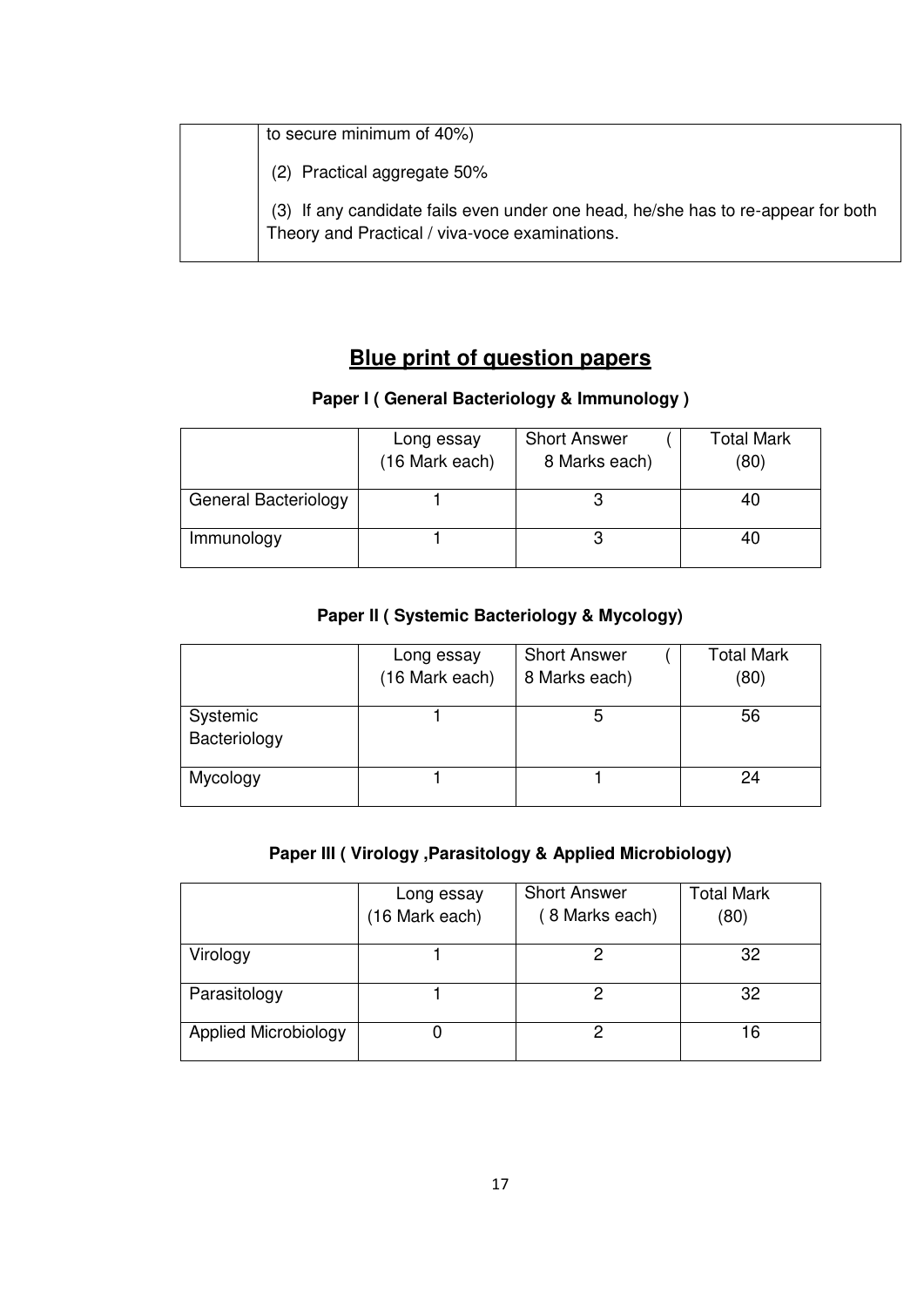| to secure minimum of 40%)                                                                                                          |
|------------------------------------------------------------------------------------------------------------------------------------|
| (2) Practical aggregate 50%                                                                                                        |
| (3) If any candidate fails even under one head, he/she has to re-appear for both<br>Theory and Practical / viva-voce examinations. |

# **Blue print of question papers**

# **Paper I ( General Bacteriology & Immunology )**

|                             | Long essay<br>(16 Mark each) | <b>Short Answer</b><br>8 Marks each) | Total Mark<br>(80) |
|-----------------------------|------------------------------|--------------------------------------|--------------------|
| <b>General Bacteriology</b> |                              |                                      | 40                 |
| Immunology                  |                              |                                      | 40                 |

# **Paper II ( Systemic Bacteriology & Mycology)**

|                          | Long essay<br>(16 Mark each) | <b>Short Answer</b><br>8 Marks each) | <b>Total Mark</b><br>(80) |
|--------------------------|------------------------------|--------------------------------------|---------------------------|
| Systemic<br>Bacteriology |                              | 5                                    | 56                        |
| Mycology                 |                              |                                      | 24                        |

# **Paper III ( Virology ,Parasitology & Applied Microbiology)**

|                             | Long essay     | <b>Short Answer</b> | <b>Total Mark</b> |
|-----------------------------|----------------|---------------------|-------------------|
|                             | (16 Mark each) | (8 Marks each)      | (80)              |
| Virology                    |                |                     | 32                |
| Parasitology                |                |                     | 32                |
| <b>Applied Microbiology</b> |                |                     | 16                |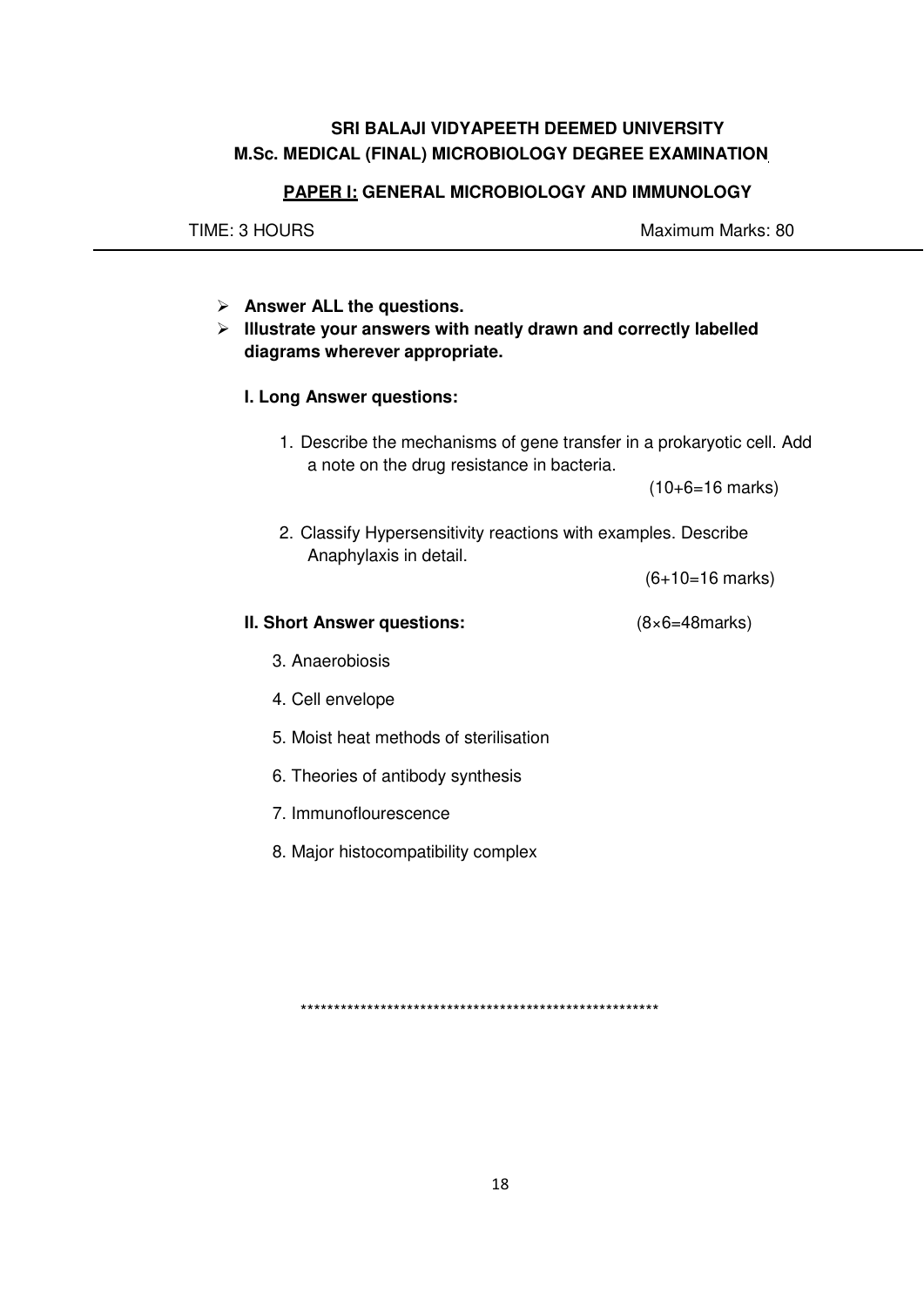# **SRI BALAJI VIDYAPEETH DEEMED UNIVERSITY M.Sc. MEDICAL (FINAL) MICROBIOLOGY DEGREE EXAMINATION**

TIME: 3 HOURS Maximum Marks: 80

## **PAPER I: GENERAL MICROBIOLOGY AND IMMUNOLOGY**

 **Answer ALL the questions. Illustrate your answers with neatly drawn and correctly labelled diagrams wherever appropriate. I. Long Answer questions:**  1. Describe the mechanisms of gene transfer in a prokaryotic cell. Add a note on the drug resistance in bacteria. (10+6=16 marks)

2. Classify Hypersensitivity reactions with examples. Describe Anaphylaxis in detail.

(6+10=16 marks)

- **II. Short Answer questions:** (8×6=48marks)
	- 3. Anaerobiosis
	- 4. Cell envelope
	- 5. Moist heat methods of sterilisation
	- 6. Theories of antibody synthesis
	- 7. Immunoflourescence
	- 8. Major histocompatibility complex

\*\*\*\*\*\*\*\*\*\*\*\*\*\*\*\*\*\*\*\*\*\*\*\*\*\*\*\*\*\*\*\*\*\*\*\*\*\*\*\*\*\*\*\*\*\*\*\*\*\*\*\*\*\*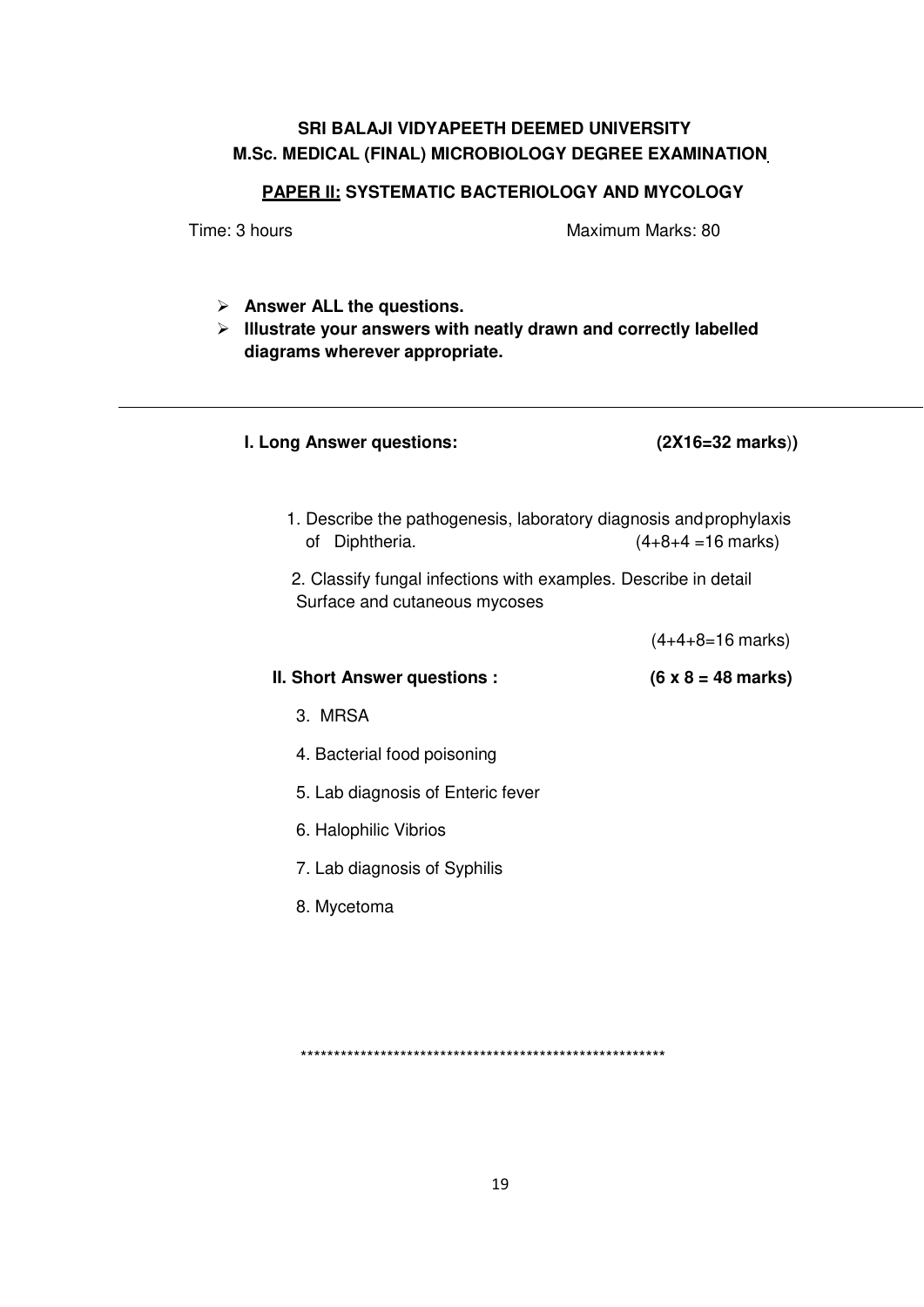# **SRI BALAJI VIDYAPEETH DEEMED UNIVERSITY M.Sc. MEDICAL (FINAL) MICROBIOLOGY DEGREE EXAMINATION**

# **PAPER II: SYSTEMATIC BACTERIOLOGY AND MYCOLOGY**

Time: 3 hours **Maximum Marks: 80** 

| $\triangleright$ Answer ALL the questions.<br>Illustrate your answers with neatly drawn and correctly labelled<br>➤<br>diagrams wherever appropriate. |                                   |  |
|-------------------------------------------------------------------------------------------------------------------------------------------------------|-----------------------------------|--|
| I. Long Answer questions:                                                                                                                             | $(2X16=32 \text{ marks})$         |  |
| 1. Describe the pathogenesis, laboratory diagnosis and prophylaxis<br>of Diphtheria.                                                                  | $(4+8+4=16$ marks)                |  |
| 2. Classify fungal infections with examples. Describe in detail<br>Surface and cutaneous mycoses                                                      |                                   |  |
|                                                                                                                                                       | $(4+4+8=16$ marks)                |  |
| <b>II. Short Answer questions:</b>                                                                                                                    | $(6 \times 8 = 48 \text{ marks})$ |  |
| 3. MRSA                                                                                                                                               |                                   |  |
| 4. Bacterial food poisoning                                                                                                                           |                                   |  |
| 5. Lab diagnosis of Enteric fever                                                                                                                     |                                   |  |
| 6. Halophilic Vibrios                                                                                                                                 |                                   |  |
| 7. Lab diagnosis of Syphilis                                                                                                                          |                                   |  |
| 8. Mycetoma                                                                                                                                           |                                   |  |
|                                                                                                                                                       |                                   |  |

\*\*\*\*\*\*\*\*\*\*\*\*\*\*\*\*\*\*\*\*\*\*\*\*\*\*\*\*\*\*\*\*\*\*\*\*\*\*\*\*\*\*\*\*\*\*\*\*\*\*\*\*\*\*\*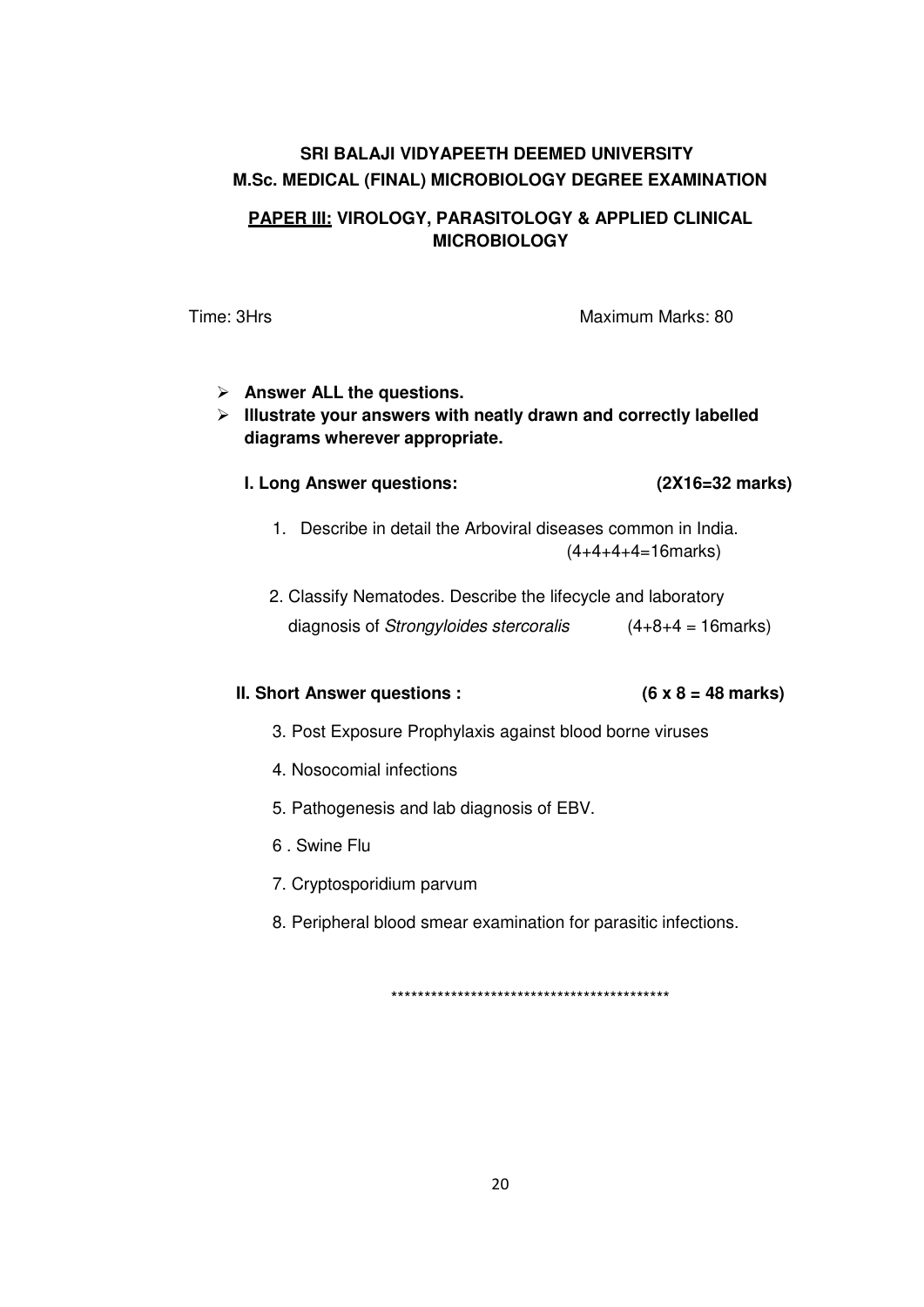# **SRI BALAJI VIDYAPEETH DEEMED UNIVERSITY M.Sc. MEDICAL (FINAL) MICROBIOLOGY DEGREE EXAMINATION**

# **PAPER III: VIROLOGY, PARASITOLOGY & APPLIED CLINICAL MICROBIOLOGY**

Time: 3Hrs Maximum Marks: 80

# **Answer ALL the questions.**

 **Illustrate your answers with neatly drawn and correctly labelled diagrams wherever appropriate.** 

### **I. Long Answer questions: (2X16=32 marks)**

- 1. Describe in detail the Arboviral diseases common in India.  $(4+4+4+4=16$ marks)
- 2. Classify Nematodes. Describe the lifecycle and laboratory diagnosis of *Strongyloides stercoralis* (4+8+4 = 16marks)

# **II. Short Answer questions : (6 x 8 = 48 marks)**

- 3. Post Exposure Prophylaxis against blood borne viruses
- 4. Nosocomial infections
- 5. Pathogenesis and lab diagnosis of EBV.
- 6 . Swine Flu
- 7. Cryptosporidium parvum
- 8. Peripheral blood smear examination for parasitic infections.

\*\*\*\*\*\*\*\*\*\*\*\*\*\*\*\*\*\*\*\*\*\*\*\*\*\*\*\*\*\*\*\*\*\*\*\*\*\*\*\*\*\*